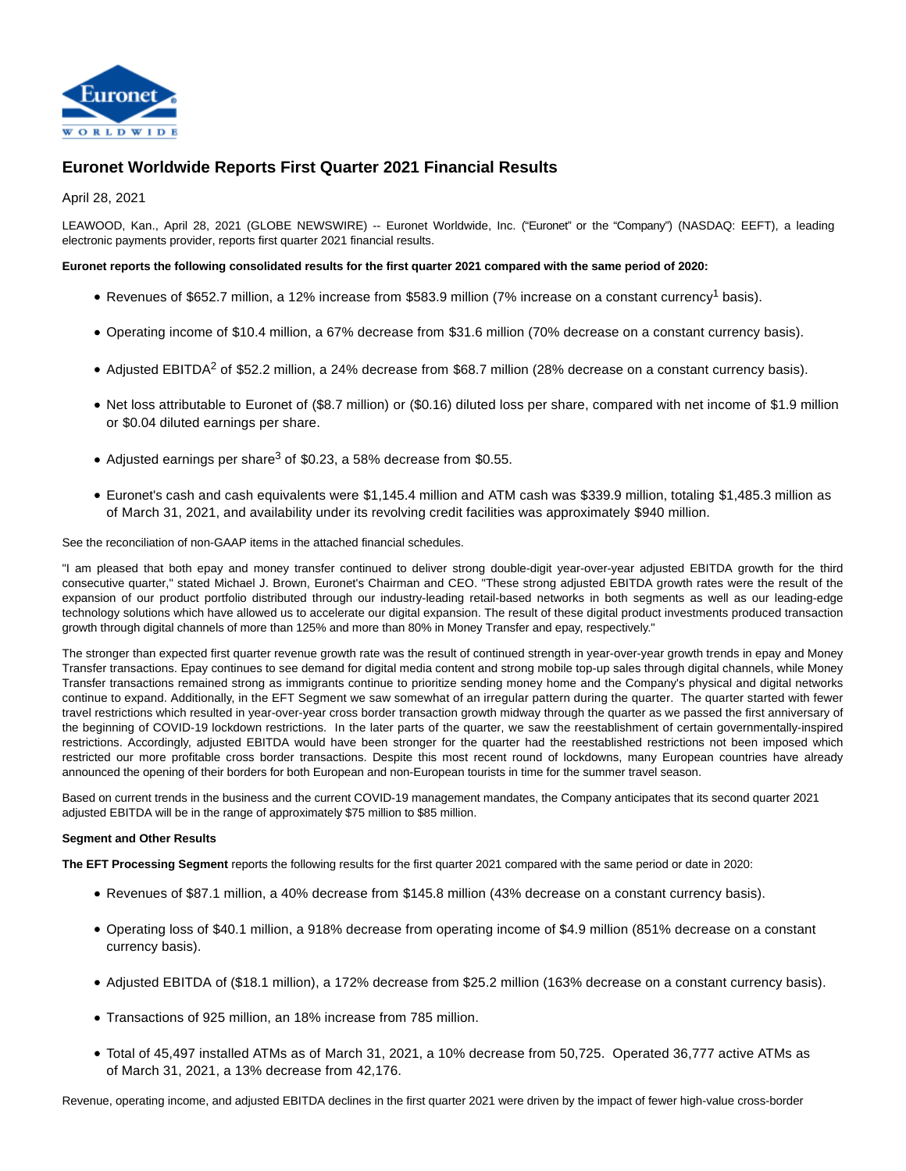

# **Euronet Worldwide Reports First Quarter 2021 Financial Results**

April 28, 2021

LEAWOOD, Kan., April 28, 2021 (GLOBE NEWSWIRE) -- Euronet Worldwide, Inc. ("Euronet" or the "Company") (NASDAQ: EEFT), a leading electronic payments provider, reports first quarter 2021 financial results.

## **Euronet reports the following consolidated results for the first quarter 2021 compared with the same period of 2020:**

- Revenues of \$652.7 million, a 12% increase from \$583.9 million (7% increase on a constant currency<sup>1</sup> basis).
- Operating income of \$10.4 million, a 67% decrease from \$31.6 million (70% decrease on a constant currency basis).
- Adjusted EBITDA<sup>2</sup> of \$52.2 million, a 24% decrease from \$68.7 million (28% decrease on a constant currency basis).
- Net loss attributable to Euronet of (\$8.7 million) or (\$0.16) diluted loss per share, compared with net income of \$1.9 million or \$0.04 diluted earnings per share.
- Adjusted earnings per share<sup>3</sup> of \$0.23, a 58% decrease from \$0.55.
- Euronet's cash and cash equivalents were \$1,145.4 million and ATM cash was \$339.9 million, totaling \$1,485.3 million as of March 31, 2021, and availability under its revolving credit facilities was approximately \$940 million.

See the reconciliation of non-GAAP items in the attached financial schedules.

"I am pleased that both epay and money transfer continued to deliver strong double-digit year-over-year adjusted EBITDA growth for the third consecutive quarter," stated Michael J. Brown, Euronet's Chairman and CEO. "These strong adjusted EBITDA growth rates were the result of the expansion of our product portfolio distributed through our industry-leading retail-based networks in both segments as well as our leading-edge technology solutions which have allowed us to accelerate our digital expansion. The result of these digital product investments produced transaction growth through digital channels of more than 125% and more than 80% in Money Transfer and epay, respectively."

The stronger than expected first quarter revenue growth rate was the result of continued strength in year-over-year growth trends in epay and Money Transfer transactions. Epay continues to see demand for digital media content and strong mobile top-up sales through digital channels, while Money Transfer transactions remained strong as immigrants continue to prioritize sending money home and the Company's physical and digital networks continue to expand. Additionally, in the EFT Segment we saw somewhat of an irregular pattern during the quarter. The quarter started with fewer travel restrictions which resulted in year-over-year cross border transaction growth midway through the quarter as we passed the first anniversary of the beginning of COVID-19 lockdown restrictions. In the later parts of the quarter, we saw the reestablishment of certain governmentally-inspired restrictions. Accordingly, adjusted EBITDA would have been stronger for the quarter had the reestablished restrictions not been imposed which restricted our more profitable cross border transactions. Despite this most recent round of lockdowns, many European countries have already announced the opening of their borders for both European and non-European tourists in time for the summer travel season.

Based on current trends in the business and the current COVID-19 management mandates, the Company anticipates that its second quarter 2021 adjusted EBITDA will be in the range of approximately \$75 million to \$85 million.

## **Segment and Other Results**

**The EFT Processing Segment** reports the following results for the first quarter 2021 compared with the same period or date in 2020:

- Revenues of \$87.1 million, a 40% decrease from \$145.8 million (43% decrease on a constant currency basis).
- Operating loss of \$40.1 million, a 918% decrease from operating income of \$4.9 million (851% decrease on a constant currency basis).
- Adjusted EBITDA of (\$18.1 million), a 172% decrease from \$25.2 million (163% decrease on a constant currency basis).
- Transactions of 925 million, an 18% increase from 785 million.
- Total of 45,497 installed ATMs as of March 31, 2021, a 10% decrease from 50,725. Operated 36,777 active ATMs as of March 31, 2021, a 13% decrease from 42,176.

Revenue, operating income, and adjusted EBITDA declines in the first quarter 2021 were driven by the impact of fewer high-value cross-border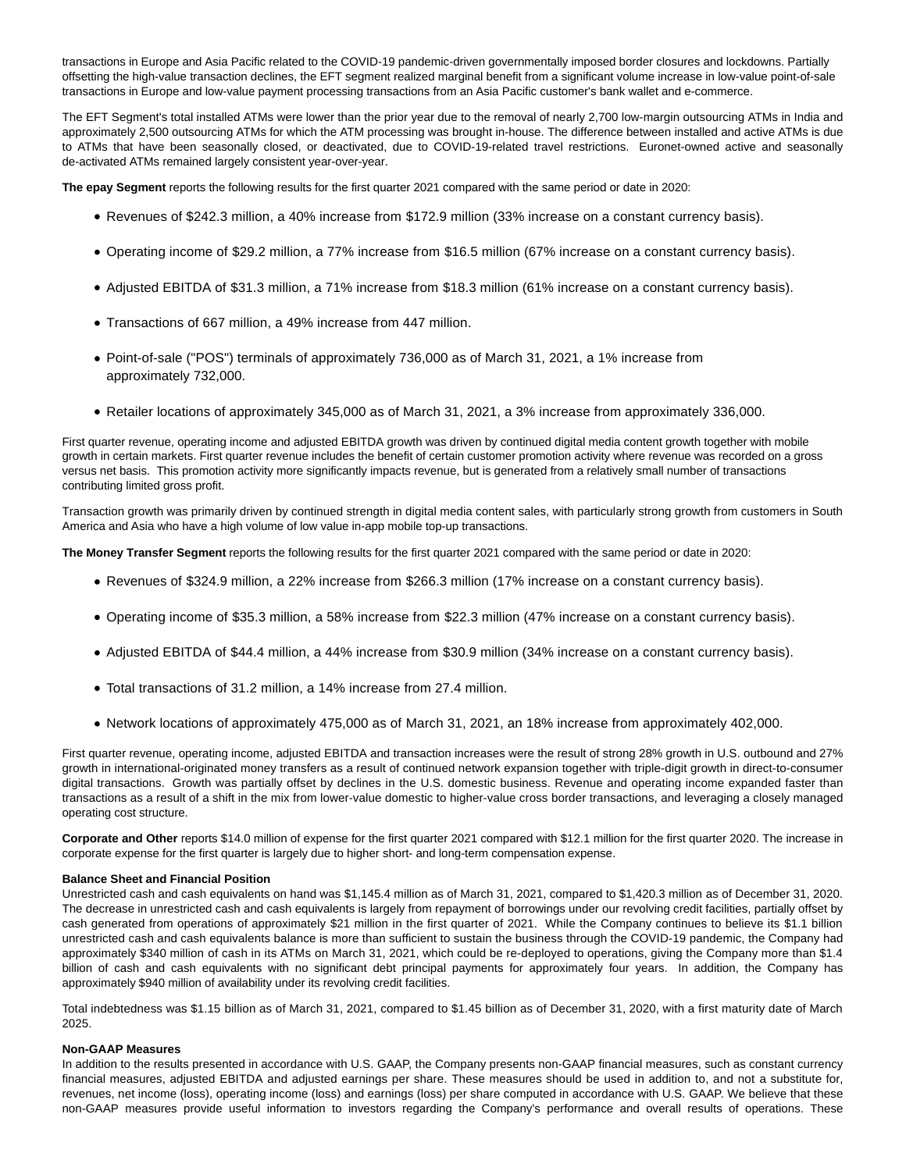transactions in Europe and Asia Pacific related to the COVID-19 pandemic-driven governmentally imposed border closures and lockdowns. Partially offsetting the high-value transaction declines, the EFT segment realized marginal benefit from a significant volume increase in low-value point-of-sale transactions in Europe and low-value payment processing transactions from an Asia Pacific customer's bank wallet and e-commerce.

The EFT Segment's total installed ATMs were lower than the prior year due to the removal of nearly 2,700 low-margin outsourcing ATMs in India and approximately 2,500 outsourcing ATMs for which the ATM processing was brought in-house. The difference between installed and active ATMs is due to ATMs that have been seasonally closed, or deactivated, due to COVID-19-related travel restrictions. Euronet-owned active and seasonally de-activated ATMs remained largely consistent year-over-year.

**The epay Segment** reports the following results for the first quarter 2021 compared with the same period or date in 2020:

- Revenues of \$242.3 million, a 40% increase from \$172.9 million (33% increase on a constant currency basis).
- Operating income of \$29.2 million, a 77% increase from \$16.5 million (67% increase on a constant currency basis).
- Adjusted EBITDA of \$31.3 million, a 71% increase from \$18.3 million (61% increase on a constant currency basis).
- Transactions of 667 million, a 49% increase from 447 million.
- Point-of-sale ("POS") terminals of approximately 736,000 as of March 31, 2021, a 1% increase from approximately 732,000.
- Retailer locations of approximately 345,000 as of March 31, 2021, a 3% increase from approximately 336,000.

First quarter revenue, operating income and adjusted EBITDA growth was driven by continued digital media content growth together with mobile growth in certain markets. First quarter revenue includes the benefit of certain customer promotion activity where revenue was recorded on a gross versus net basis. This promotion activity more significantly impacts revenue, but is generated from a relatively small number of transactions contributing limited gross profit.

Transaction growth was primarily driven by continued strength in digital media content sales, with particularly strong growth from customers in South America and Asia who have a high volume of low value in-app mobile top-up transactions.

**The Money Transfer Segment** reports the following results for the first quarter 2021 compared with the same period or date in 2020:

- Revenues of \$324.9 million, a 22% increase from \$266.3 million (17% increase on a constant currency basis).
- Operating income of \$35.3 million, a 58% increase from \$22.3 million (47% increase on a constant currency basis).
- Adjusted EBITDA of \$44.4 million, a 44% increase from \$30.9 million (34% increase on a constant currency basis).
- Total transactions of 31.2 million, a 14% increase from 27.4 million.
- Network locations of approximately 475,000 as of March 31, 2021, an 18% increase from approximately 402,000.

First quarter revenue, operating income, adjusted EBITDA and transaction increases were the result of strong 28% growth in U.S. outbound and 27% growth in international-originated money transfers as a result of continued network expansion together with triple-digit growth in direct-to-consumer digital transactions. Growth was partially offset by declines in the U.S. domestic business. Revenue and operating income expanded faster than transactions as a result of a shift in the mix from lower-value domestic to higher-value cross border transactions, and leveraging a closely managed operating cost structure.

**Corporate and Other** reports \$14.0 million of expense for the first quarter 2021 compared with \$12.1 million for the first quarter 2020. The increase in corporate expense for the first quarter is largely due to higher short- and long-term compensation expense.

### **Balance Sheet and Financial Position**

Unrestricted cash and cash equivalents on hand was \$1,145.4 million as of March 31, 2021, compared to \$1,420.3 million as of December 31, 2020. The decrease in unrestricted cash and cash equivalents is largely from repayment of borrowings under our revolving credit facilities, partially offset by cash generated from operations of approximately \$21 million in the first quarter of 2021. While the Company continues to believe its \$1.1 billion unrestricted cash and cash equivalents balance is more than sufficient to sustain the business through the COVID-19 pandemic, the Company had approximately \$340 million of cash in its ATMs on March 31, 2021, which could be re-deployed to operations, giving the Company more than \$1.4 billion of cash and cash equivalents with no significant debt principal payments for approximately four years. In addition, the Company has approximately \$940 million of availability under its revolving credit facilities.

Total indebtedness was \$1.15 billion as of March 31, 2021, compared to \$1.45 billion as of December 31, 2020, with a first maturity date of March 2025.

## **Non-GAAP Measures**

In addition to the results presented in accordance with U.S. GAAP, the Company presents non-GAAP financial measures, such as constant currency financial measures, adjusted EBITDA and adjusted earnings per share. These measures should be used in addition to, and not a substitute for, revenues, net income (loss), operating income (loss) and earnings (loss) per share computed in accordance with U.S. GAAP. We believe that these non-GAAP measures provide useful information to investors regarding the Company's performance and overall results of operations. These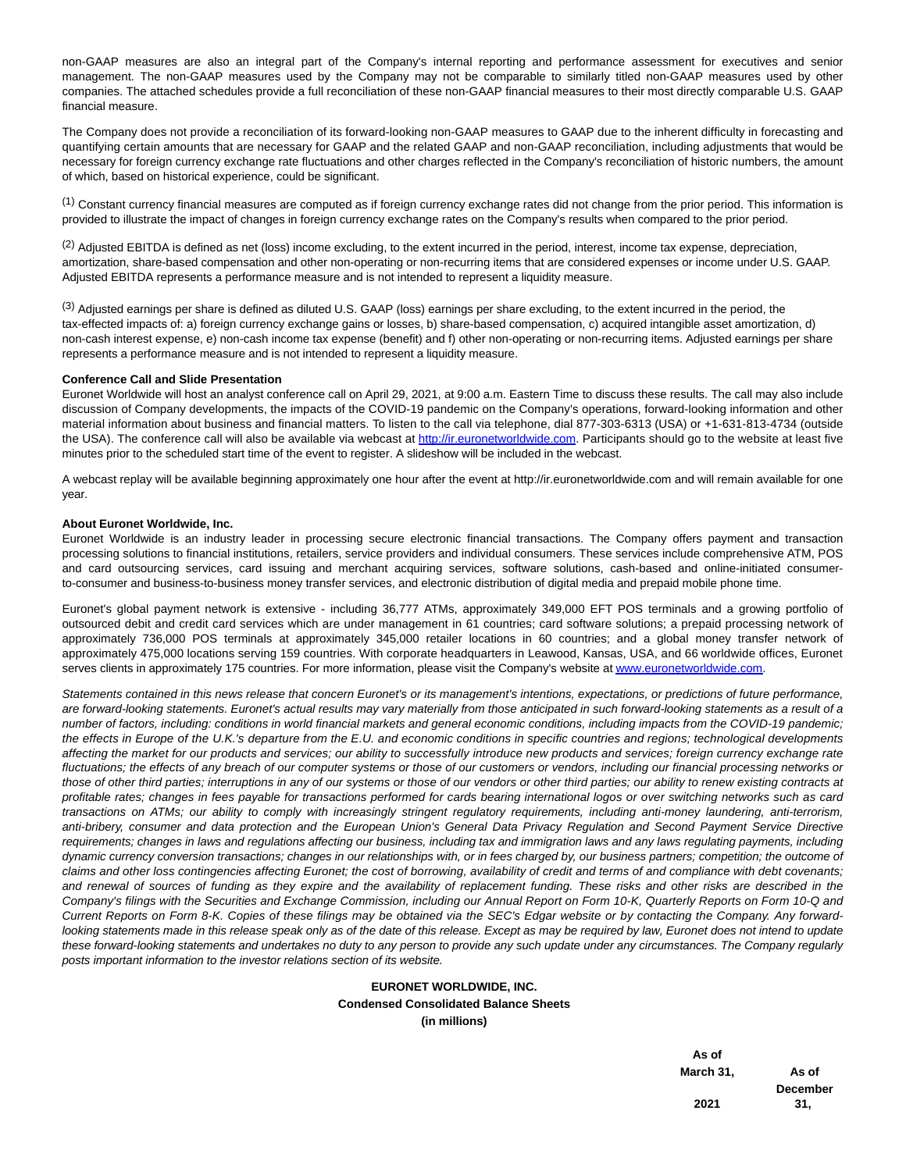non-GAAP measures are also an integral part of the Company's internal reporting and performance assessment for executives and senior management. The non-GAAP measures used by the Company may not be comparable to similarly titled non-GAAP measures used by other companies. The attached schedules provide a full reconciliation of these non-GAAP financial measures to their most directly comparable U.S. GAAP financial measure.

The Company does not provide a reconciliation of its forward-looking non-GAAP measures to GAAP due to the inherent difficulty in forecasting and quantifying certain amounts that are necessary for GAAP and the related GAAP and non-GAAP reconciliation, including adjustments that would be necessary for foreign currency exchange rate fluctuations and other charges reflected in the Company's reconciliation of historic numbers, the amount of which, based on historical experience, could be significant.

(1) Constant currency financial measures are computed as if foreign currency exchange rates did not change from the prior period. This information is provided to illustrate the impact of changes in foreign currency exchange rates on the Company's results when compared to the prior period.

 $(2)$  Adjusted EBITDA is defined as net (loss) income excluding, to the extent incurred in the period, interest, income tax expense, depreciation, amortization, share-based compensation and other non-operating or non-recurring items that are considered expenses or income under U.S. GAAP. Adjusted EBITDA represents a performance measure and is not intended to represent a liquidity measure.

<sup>(3)</sup> Adjusted earnings per share is defined as diluted U.S. GAAP (loss) earnings per share excluding, to the extent incurred in the period, the tax-effected impacts of: a) foreign currency exchange gains or losses, b) share-based compensation, c) acquired intangible asset amortization, d) non-cash interest expense, e) non-cash income tax expense (benefit) and f) other non-operating or non-recurring items. Adjusted earnings per share represents a performance measure and is not intended to represent a liquidity measure.

#### **Conference Call and Slide Presentation**

Euronet Worldwide will host an analyst conference call on April 29, 2021, at 9:00 a.m. Eastern Time to discuss these results. The call may also include discussion of Company developments, the impacts of the COVID-19 pandemic on the Company's operations, forward-looking information and other material information about business and financial matters. To listen to the call via telephone, dial 877-303-6313 (USA) or +1-631-813-4734 (outside the USA). The conference call will also be available via webcast at [http://ir.euronetworldwide.com.](http://ir.euronetworldwide.com/) Participants should go to the website at least five minutes prior to the scheduled start time of the event to register. A slideshow will be included in the webcast.

A webcast replay will be available beginning approximately one hour after the event at http://ir.euronetworldwide.com and will remain available for one year.

#### **About Euronet Worldwide, Inc.**

Euronet Worldwide is an industry leader in processing secure electronic financial transactions. The Company offers payment and transaction processing solutions to financial institutions, retailers, service providers and individual consumers. These services include comprehensive ATM, POS and card outsourcing services, card issuing and merchant acquiring services, software solutions, cash-based and online-initiated consumerto-consumer and business-to-business money transfer services, and electronic distribution of digital media and prepaid mobile phone time.

Euronet's global payment network is extensive - including 36,777 ATMs, approximately 349,000 EFT POS terminals and a growing portfolio of outsourced debit and credit card services which are under management in 61 countries; card software solutions; a prepaid processing network of approximately 736,000 POS terminals at approximately 345,000 retailer locations in 60 countries; and a global money transfer network of approximately 475,000 locations serving 159 countries. With corporate headquarters in Leawood, Kansas, USA, and 66 worldwide offices, Euronet serves clients in approximately 175 countries. For more information, please visit the Company's website a[t www.euronetworldwide.com.](http://www.euronetworldwide.com/)

Statements contained in this news release that concern Euronet's or its management's intentions, expectations, or predictions of future performance, are forward-looking statements. Euronet's actual results may vary materially from those anticipated in such forward-looking statements as a result of a number of factors, including: conditions in world financial markets and general economic conditions, including impacts from the COVID-19 pandemic; the effects in Europe of the U.K.'s departure from the E.U. and economic conditions in specific countries and regions; technological developments affecting the market for our products and services; our ability to successfully introduce new products and services; foreign currency exchange rate fluctuations; the effects of any breach of our computer systems or those of our customers or vendors, including our financial processing networks or those of other third parties; interruptions in any of our systems or those of our vendors or other third parties; our ability to renew existing contracts at profitable rates; changes in fees payable for transactions performed for cards bearing international logos or over switching networks such as card transactions on ATMs; our ability to comply with increasingly stringent regulatory requirements, including anti-money laundering, anti-terrorism, anti-bribery, consumer and data protection and the European Union's General Data Privacy Regulation and Second Payment Service Directive requirements; changes in laws and regulations affecting our business, including tax and immigration laws and any laws regulating payments, including dynamic currency conversion transactions; changes in our relationships with, or in fees charged by, our business partners; competition; the outcome of claims and other loss contingencies affecting Euronet; the cost of borrowing, availability of credit and terms of and compliance with debt covenants; and renewal of sources of funding as they expire and the availability of replacement funding. These risks and other risks are described in the Company's filings with the Securities and Exchange Commission, including our Annual Report on Form 10-K, Quarterly Reports on Form 10-Q and Current Reports on Form 8-K. Copies of these filings may be obtained via the SEC's Edgar website or by contacting the Company. Any forwardlooking statements made in this release speak only as of the date of this release. Except as may be required by law, Euronet does not intend to update these forward-looking statements and undertakes no duty to any person to provide any such update under any circumstances. The Company regularly posts important information to the investor relations section of its website.

## **EURONET WORLDWIDE, INC. Condensed Consolidated Balance Sheets (in millions)**

| As of     |                 |
|-----------|-----------------|
| March 31, | As of           |
|           | <b>December</b> |
| 2021      | 31.             |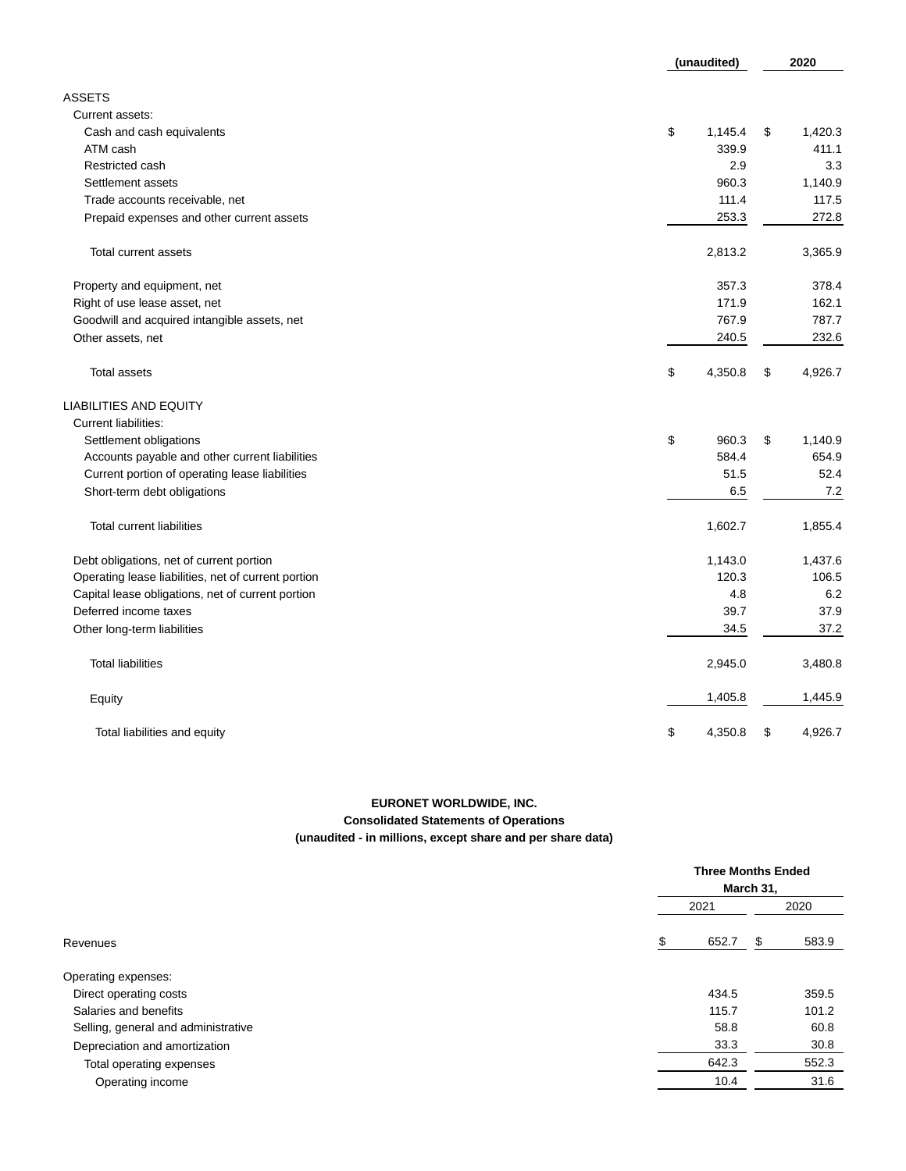|                                                     | (unaudited)   | 2020 |         |  |
|-----------------------------------------------------|---------------|------|---------|--|
| <b>ASSETS</b>                                       |               |      |         |  |
| Current assets:                                     |               |      |         |  |
| Cash and cash equivalents                           | \$<br>1,145.4 | \$   | 1,420.3 |  |
| ATM cash                                            | 339.9         |      | 411.1   |  |
| Restricted cash                                     | 2.9           |      | 3.3     |  |
| Settlement assets                                   | 960.3         |      | 1,140.9 |  |
| Trade accounts receivable, net                      | 111.4         |      | 117.5   |  |
| Prepaid expenses and other current assets           | 253.3         |      | 272.8   |  |
| Total current assets                                | 2,813.2       |      | 3,365.9 |  |
| Property and equipment, net                         | 357.3         |      | 378.4   |  |
| Right of use lease asset, net                       | 171.9         |      | 162.1   |  |
| Goodwill and acquired intangible assets, net        | 767.9         |      | 787.7   |  |
| Other assets, net                                   | 240.5         |      | 232.6   |  |
| <b>Total assets</b>                                 | \$<br>4,350.8 | \$   | 4,926.7 |  |
| <b>LIABILITIES AND EQUITY</b>                       |               |      |         |  |
| <b>Current liabilities:</b>                         |               |      |         |  |
| Settlement obligations                              | \$<br>960.3   | \$   | 1,140.9 |  |
| Accounts payable and other current liabilities      | 584.4         |      | 654.9   |  |
| Current portion of operating lease liabilities      | 51.5          |      | 52.4    |  |
| Short-term debt obligations                         | 6.5           |      | 7.2     |  |
| <b>Total current liabilities</b>                    | 1,602.7       |      | 1,855.4 |  |
| Debt obligations, net of current portion            | 1,143.0       |      | 1,437.6 |  |
| Operating lease liabilities, net of current portion | 120.3         |      | 106.5   |  |
| Capital lease obligations, net of current portion   | 4.8           |      | 6.2     |  |
| Deferred income taxes                               | 39.7          |      | 37.9    |  |
| Other long-term liabilities                         | 34.5          |      | 37.2    |  |
| <b>Total liabilities</b>                            | 2,945.0       |      | 3,480.8 |  |
| Equity                                              | 1,405.8       |      | 1,445.9 |  |
| Total liabilities and equity                        | \$<br>4,350.8 | \$   | 4,926.7 |  |

## **EURONET WORLDWIDE, INC. Consolidated Statements of Operations (unaudited - in millions, except share and per share data)**

|                                     |            | <b>Three Months Ended</b><br>March 31, |
|-------------------------------------|------------|----------------------------------------|
|                                     | 2021       | 2020                                   |
| Revenues                            | 652.7<br>S | 583.9<br>- \$                          |
| Operating expenses:                 |            |                                        |
| Direct operating costs              | 434.5      | 359.5                                  |
| Salaries and benefits               | 115.7      | 101.2                                  |
| Selling, general and administrative | 58.8       | 60.8                                   |
| Depreciation and amortization       | 33.3       | 30.8                                   |
| Total operating expenses            | 642.3      | 552.3                                  |
| Operating income                    | 10.4       | 31.6                                   |
|                                     |            |                                        |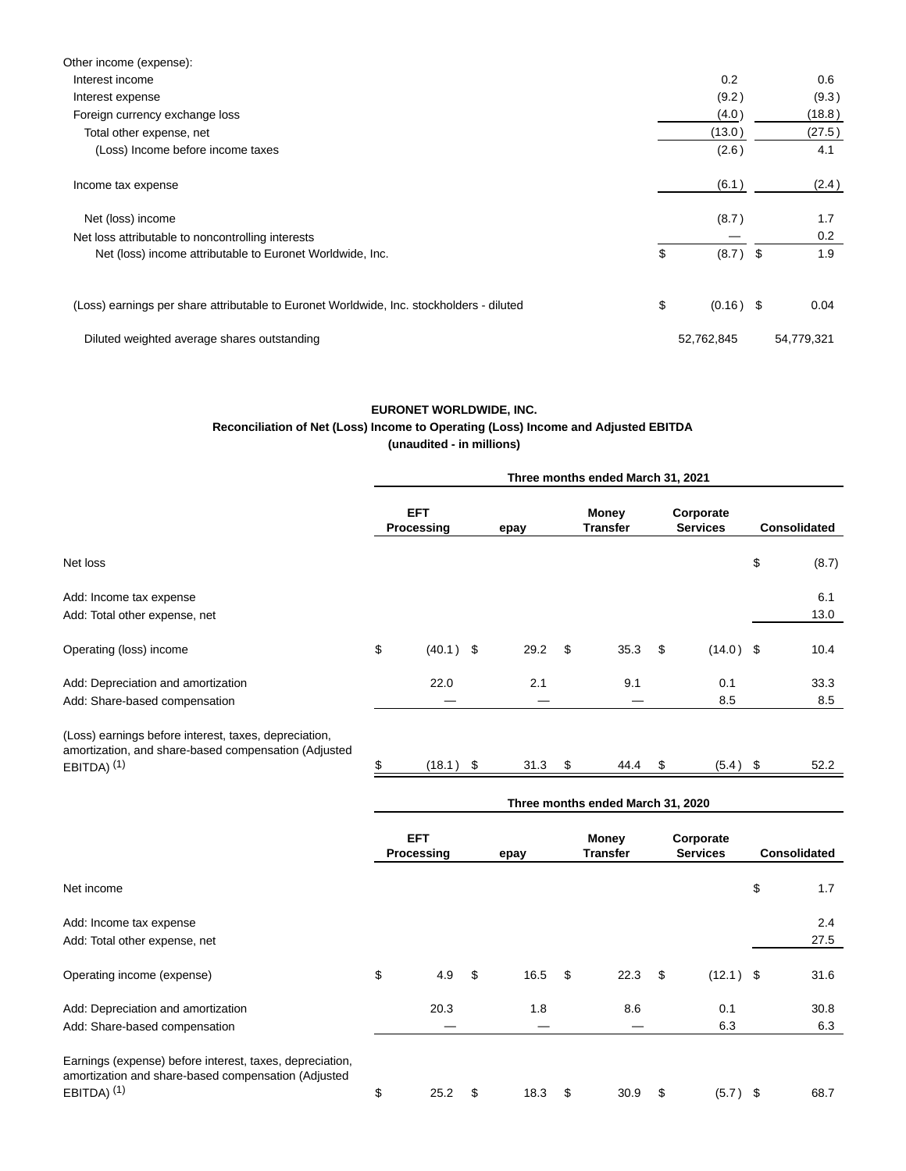| Other income (expense):                                                                  |                   |      |            |
|------------------------------------------------------------------------------------------|-------------------|------|------------|
| Interest income                                                                          | 0.2               |      | 0.6        |
| Interest expense                                                                         | (9.2)             |      | (9.3)      |
| Foreign currency exchange loss                                                           | (4.0)             |      | (18.8)     |
| Total other expense, net                                                                 | (13.0)            |      | (27.5)     |
| (Loss) Income before income taxes                                                        | (2.6)             |      | 4.1        |
| Income tax expense                                                                       | (6.1)             |      | (2.4)      |
| Net (loss) income                                                                        | (8.7)             |      | 1.7        |
| Net loss attributable to noncontrolling interests                                        |                   |      | 0.2        |
| Net (loss) income attributable to Euronet Worldwide, Inc.                                | \$<br>(8.7)       | - \$ | 1.9        |
| (Loss) earnings per share attributable to Euronet Worldwide, Inc. stockholders - diluted | \$<br>$(0.16)$ \$ |      | 0.04       |
| Diluted weighted average shares outstanding                                              | 52,762,845        |      | 54,779,321 |

## **EURONET WORLDWIDE, INC.**

# **Reconciliation of Net (Loss) Income to Operating (Loss) Income and Adjusted EBITDA**

| (unaudited - in millions) |  |  |  |  |
|---------------------------|--|--|--|--|
|---------------------------|--|--|--|--|

|                                                                                                                                  | Three months ended March 31, 2021 |                          |      |                                 |    |                                   |    |                              |    |                     |
|----------------------------------------------------------------------------------------------------------------------------------|-----------------------------------|--------------------------|------|---------------------------------|----|-----------------------------------|----|------------------------------|----|---------------------|
|                                                                                                                                  |                                   | <b>EFT</b><br>Processing | epay | <b>Money</b><br><b>Transfer</b> |    | Corporate<br><b>Services</b>      |    | <b>Consolidated</b>          |    |                     |
| Net loss                                                                                                                         |                                   |                          |      |                                 |    |                                   |    |                              | \$ | (8.7)               |
| Add: Income tax expense<br>Add: Total other expense, net                                                                         |                                   |                          |      |                                 |    |                                   |    |                              |    | 6.1<br>13.0         |
| Operating (loss) income                                                                                                          | \$                                | $(40.1)$ \$              |      | 29.2                            | \$ | 35.3                              | \$ | $(14.0)$ \$                  |    | 10.4                |
| Add: Depreciation and amortization<br>Add: Share-based compensation                                                              |                                   | 22.0                     |      | 2.1                             |    | 9.1                               |    | 0.1<br>8.5                   |    | 33.3<br>8.5         |
| (Loss) earnings before interest, taxes, depreciation,<br>amortization, and share-based compensation (Adjusted<br>EBITDA) $(1)$   | \$                                | (18.1)                   | \$   | 31.3                            | \$ | 44.4                              | \$ | (5.4)                        | \$ | 52.2                |
|                                                                                                                                  |                                   |                          |      |                                 |    | Three months ended March 31, 2020 |    |                              |    |                     |
|                                                                                                                                  |                                   | <b>EFT</b><br>Processing |      | epay                            |    | <b>Money</b><br><b>Transfer</b>   |    | Corporate<br><b>Services</b> |    | <b>Consolidated</b> |
| Net income                                                                                                                       |                                   |                          |      |                                 |    |                                   |    |                              | \$ | 1.7                 |
| Add: Income tax expense<br>Add: Total other expense, net                                                                         |                                   |                          |      |                                 |    |                                   |    |                              |    | 2.4<br>27.5         |
| Operating income (expense)                                                                                                       | \$                                | 4.9                      | \$   | 16.5                            | \$ | 22.3                              | \$ | (12.1)                       | \$ | 31.6                |
| Add: Depreciation and amortization<br>Add: Share-based compensation                                                              |                                   | 20.3                     |      | 1.8                             |    | 8.6                               |    | 0.1<br>6.3                   |    | 30.8<br>6.3         |
| Earnings (expense) before interest, taxes, depreciation,<br>amortization and share-based compensation (Adjusted<br>EBITDA) $(1)$ | \$                                | 25.2                     | \$   | 18.3                            | \$ | 30.9                              | \$ | $(5.7)$ \$                   |    | 68.7                |